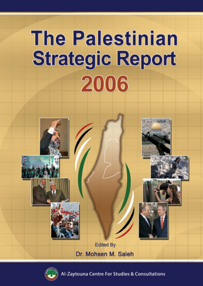# **The Palestinian Strategic Report** 2006





Zaytouna Centre For Studies & Consultations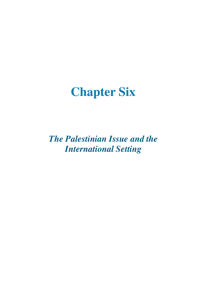# **Chapter Six**

*The Palestinian Issue and the International Setting*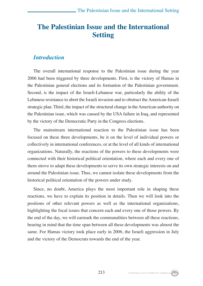# **The Palestinian Issue and the International Setting**

#### *Introduction*

The overall international response to the Palestinian issue during the year 2006 had been triggered by three developments. First, is the victory of Hamas in the Palestinian general elections and its formation of the Palestinian government. Second, is the impact of the Israeli-Lebanese war, particularly the ability of the Lebanese resistance to abort the Israeli invasion and to obstruct the American-Israeli strategic plan. Third, the impact of the structural change in the American authority on the Palestinian issue, which was caused by the USA failure in Iraq, and represented by the victory of the Democratic Party in the Congress elections.

The mainstream international reaction to the Palestinian issue has been focused on these three developments, be it on the level of individual powers or collectively in international conferences, or at the level of all kinds of international organizations. Naturally, the reactions of the powers to these developments were connected with their historical political orientation, where each and every one of them strove to adapt these developments to serve its own strategic interests on and around the Palestinian issue. Thus, we cannot isolate these developments from the historical political orientation of the powers under study.

Since, no doubt, America plays the most important role in shaping these reactions, we have to explain its position in details. Then we will look into the positions of other relevant powers as well as the international organizations, highlighting the focal issues that concern each and every one of those powers. By the end of the day, we will earmark the communalities between all these reactions, bearing in mind that the time span between all these developments was almost the same. For Hamas victory took place early in 2006, the Israeli aggression in July and the victory of the Democrats towards the end of the year.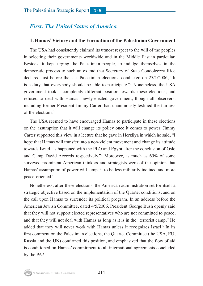# *First: The United States of America*

#### **1. Hamas' Victory and the Formation of the Palestinian Government**

The USA had consistently claimed its utmost respect to the will of the peoples in selecting their governments worldwide and in the Middle East in particular. Besides, it kept urging the Palestinian people, to indulge themselves in the democratic process to such an extend that Secretary of State Condoleezza Rice declared just before the last Palestinian elections, conducted on 25/1/2006, "It is a duty that everybody should be able to participate."1 Nonetheless, the USA government took a completely different position towards these elections, and refused to deal with Hamas' newly-elected government, though all observers, including former President Jimmy Carter, had unanimously testified the fairness of the elections.2

The USA seemed to have encouraged Hamas to participate in these elections on the assumption that it will change its policy once it comes to power. Jimmy Carter supported this view in a lecture that he gave in Herzliya in which he said, "I hope that Hamas will transfer into a non-violent movement and change its attitude towards Israel, as happened with the PLO and Egypt after the conclusion of Oslo and Camp David Accords respectively."3 Moreover, as much as 69% of some surveyed prominent American thinkers and strategists were of the opinion that Hamas' assumption of power will tempt it to be less militarily inclined and more peace-oriented.4

Nonetheless, after these elections, the American administration set for itself a strategic objective based on the implementation of the Quartet conditions, and on the call upon Hamas to surrender its political program. In an address before the American Jewish Committee, dated 4/5/2006, President George Bush openly said that they will not support elected representatives who are not committed to peace, and that they will not deal with Hamas as long as it is in the "terrorist camp." He added that they will never work with Hamas unless it recognizes Israel.<sup>5</sup> In its first comment on the Palestinian elections, the Quartet Committee (the USA, EU, Russia and the UN) confirmed this position, and emphasized that the flow of aid is conditioned on Hamas' commitment to all international agreements concluded by the PA.<sup>6</sup>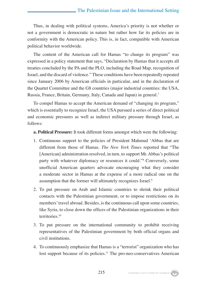Thus, in dealing with political systems, America's priority is not whether or not a government is democratic in nature but rather how far its policies are in conformity with the American policy. This is, in fact, compatible with American political behavior worldwide.

The content of the American call for Hamas "to change its program" was expressed in a policy statement that says, "Declaration by Hamas that it accepts all treaties concluded by the PA and the PLO, including the Road Map, recognition of Israel, and the discard of violence." These conditions have been repeatedly repeated since January 2006 by American officials in particular, and in the declaration of the Quartet Committee and the G8 countries (major industrial countries: the USA, Russia, France, Britain, Germany, Italy, Canada and Japan) in general.7

To compel Hamas to accept the American demand of "changing its program," which is essentially to recognize Israel, the USA pursued a series of direct political and economic pressures as well as indirect military pressure through Israel, as follows:

#### **a. Political Pressure:** It took different forms amongst which were the following:

- 1. Continuous support to the policies of President Mahmud 'Abbas that are different from those of Hamas. *The New York Times* reported that "The [American] administration resolved, in turn, to support Mr. Abbas's political party with whatever diplomacy or resources it could."8 Conversely, some unofficial American quarters advocate encouraging what they consider a moderate sector in Hamas at the expense of a more radical one on the assumption that the former will ultimately recognizes Israel.<sup>9</sup>
- 2. To put pressure on Arab and Islamic countries to shrink their political contacts with the Palestinian government, or to impose restrictions on its members' travel abroad. Besides, is the continuous call upon some countries, like Syria, to close down the offices of the Palestinian organizations in their territories.10
- 3. To put pressure on the international community to prohibit receiving representatives of the Palestinian government by both official organs and civil institutions.
- 4. To continuously emphasize that Hamas is a "terrorist" organization who has lost support because of its policies.<sup>11</sup> The pro-neo-conservatives American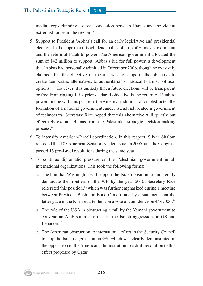media keeps claiming a close association between Hamas and the violent extremist forces in the region.<sup>12</sup>

- 5. Support to President 'Abbas's call for an early legislative and presidential elections in the hope that this will lead to the collapse of Hamas' government and the return of Fatah to power. The American government allocated the sum of \$42 million to support 'Abbas's bid for full power, a development that 'Abbas had personally admitted in December 2006, though he evasively claimed that the objective of the aid was to support "the objective to create democratic alternatives to authoritarian or radical Islamist political options."13 However, it is unlikely that a future elections will be transparent or free from rigging if its prior declared objective is the return of Fatah to power. In line with this position, the American administration obstructed the formation of a national government, and, instead, advocated a government of technocrats. Secretary Rice hoped that this alternative will quietly but effectively exclude Hamas from the Palestinian strategic decision making process.14
- 6. To intensify American-Israeli coordination. In this respect, Silvan Shalom recorded that 103 American Senators visited Israel in 2005, and the Congress passed 15 pro-Israel resolutions during the same year.
- 7. To continue diplomatic pressure on the Palestinian government in all international organizations. This took the following forms:
	- a. The hint that Washington will support the Israeli position to unilaterally demarcate the frontiers of the WB by the year 2010. Secretary Rice reiterated this position,<sup>15</sup> which was further emphasized during a meeting between President Bush and Ehud Olmert, and by a statement that the latter gave in the Knesset after he won a vote of confidence on 4/5/2006.<sup>16</sup>
	- b. The role of the USA in obstructing a call by the Yemeni government to convene an Arab summit to discuss the Israeli aggression on GS and Lebanon<sup>17</sup>
	- c. The American obstruction to international effort in the Security Council to stop the Israeli aggression on GS, which was clearly demonstrated in the opposition of the American administration to a draft resolution to this effect proposed by Qatar.<sup>18</sup>

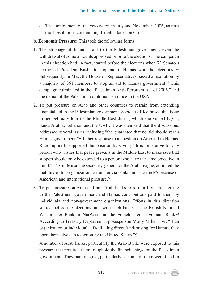- d. The employment of the veto twice, in July and November, 2006, against draft resolutions condemning Israeli attacks on GS.19
- **b. Economic Pressure:** This took the following forms:
- 1. The stoppage of financial aid to the Palestinian government, even the withdrawal of some amounts approved prior to the elections. The campaign in this direction had, in fact, started before the elections when 73 Senators petitioned President Bush "to stop aid if Hamas won the elections."20 Subsequently, in May, the House of Representatives passed a resolution by a majority of 361 members to stop all aid to Hamas government.<sup>21</sup> This campaign culminated in the "Palestinian Anti-Terrorism Act of 2006," and the denial of the Palestinian diplomats entrance to the USA.
- 2. To put pressure on Arab and other countries to refrain from extending financial aid to the Palestinian government. Secretary Rice raised this issue in her February tour to the Middle East during which she visited Egypt, Saudi Arabia, Lebanon and the UAE. It was then said that the discussions addressed several issues including "the guarantee that no aid should reach Hamas government."22 In her response to a question on Arab aid to Hamas, Rice implicitly supported this position by saying, "It is imperative for any person who wishes that peace prevails in the Middle East to make sure that support should only be extended to a person who have the same objective in mind."23 'Amr Musa, the secretary-general of the Arab League, admitted the inability of his organization to transfer via banks funds to the PA because of American and international pressure.<sup>24</sup>
- 3. To put pressure on Arab and non-Arab banks to refrain from transferring to the Palestinian government and Hamas contributions paid to them by individuals and non-government organizations. Efforts in this direction started before the elections, and with such banks as the British National Westminster Bank or NatWest and the French Credit Lyonnais Bank.<sup>25</sup> According to Treasury Department spokesperson Molly Millerwise, "If an organization or individual is facilitating direct fund-raising for Hamas, they open themselves up to action by the United States."26

A number of Arab banks, particularly the Arab Bank, were exposed to this pressure that required them to uphold the financial siege on the Palestinian government. They had to agree, particularly as some of them were fined in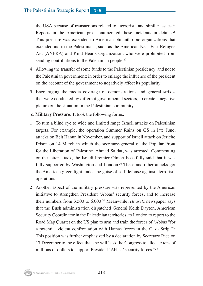the USA because of transactions related to "terrorist" and similar issues.<sup>27</sup> Reports in the American press enumerated these incidents in details.28 This pressure was extended to American philanthropic organizations that extended aid to the Palestinians, such as the American Near East Refugee Aid (ANERA) and Kind Hearts Organization, who were prohibited from sending contributions to the Palestinian people.<sup>29</sup>

- 4. Allowing the transfer of some funds to the Palestinian presidency, and not to the Palestinian government; in order to enlarge the influence of the president on the account of the government to negatively affect its popularity.
- 5. Encouraging the media coverage of demonstrations and general strikes that were conducted by different governmental sectors, to create a negative picture on the situation in the Palestinian community.
- **c. Military Pressure:** It took the following forms:
- 1. To turn a blind eye to wide and limited range Israeli attacks on Palestinian targets. For example, the operation Summer Rains on GS in late June, attacks on Beit Hanun in November, and support of Israeli attack on Jericho Prison on 14 March in which the secretary-general of the Popular Front for the Liberation of Palestine, Ahmad Sa'dat, was arrested. Commenting on the latter attack, the Israeli Premier Olmert boastfully said that it was fully supported by Washington and London.<sup>30</sup> These and other attacks got the American green light under the guise of self-defense against "terrorist" operations.
- 2. Another aspect of the military pressure was represented by the American initiative to strengthen President 'Abbas' security forces, and to increase their numbers from 3,500 to 6,000.31 Meanwhile, *Haaretz* newspaper says that the Bush administration dispatched General Keith Dayton, American Security Coordinator in the Palestinian territories, to London to report to the Road Map Quartet on the US plan to arm and train the forces of 'Abbas "for a potential violent confrontation with Hamas forces in the Gaza Strip."32 This position was further emphasized by a declaration by Secretary Rice on 17 December to the effect that she will "ask the Congress to allocate tens of millions of dollars to support President 'Abbas' security forces."33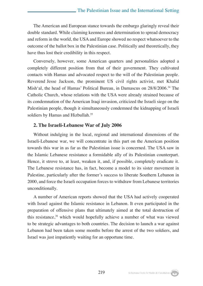The American and European stance towards the embargo glaringly reveal their double standard. While claiming keenness and determination to spread democracy and reform in the world, the USA and Europe showed no respect whatsoever to the outcome of the ballot box in the Palestinian case. Politically and theoretically, they have thus lost their credibility in this respect.

Conversely, however, some American quarters and personalities adopted a completely different position from that of their government. They cultivated contacts with Hamas and advocated respect to the will of the Palestinian people. Reverend Jesse Jackson, the prominent US civil rights activist, met Khalid Mish'al, the head of Hamas' Political Bureau, in Damascus on 28/8/2006.34 The Catholic Church, whose relations with the USA were already strained because of its condemnation of the American Iraqi invasion, criticized the Israeli siege on the Palestinian people, though it simultaneously condemned the kidnapping of Israeli soldiers by Hamas and Hizbullah.<sup>35</sup>

#### **2. The Israeli-Lebanese War of July 2006**

Without indulging in the local, regional and international dimensions of the Israeli-Lebanese war, we will concentrate in this part on the American position towards this war in as far as the Palestinian issue is concerned. The USA saw in the Islamic Lebanese resistance a formidable ally of its Palestinian counterpart. Hence, it strove to, at least, weaken it, and, if possible, completely eradicate it. The Lebanese resistance has, in fact, become a model to its sister movement in Palestine, particularly after the former's success to liberate Southern Lebanon in 2000, and force the Israeli occupation forces to withdraw from Lebanese territories unconditionally.

A number of American reports showed that the USA had actively cooperated with Israel against the Islamic resistance in Lebanon. It even participated in the preparation of offensive plans that ultimately aimed at the total destruction of this resistance,<sup>36</sup> which would hopefully achieve a number of what was viewed to be strategic advantages to both countries. The decision to launch a war against Lebanon had been taken some months before the arrest of the two soldiers, and Israel was just impatiently waiting for an opportune time.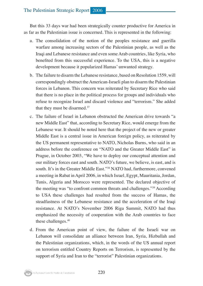But this 33 days war had been strategically counter productive for America in as far as the Palestinian issue is concerned. This is represented in the following:

- a. The consolidation of the notion of the peoples resistance and guerilla warfare among increasing sectors of the Palestinian people, as well as the Iraqi and Lebanese resistance and even some Arab countries, like Syria, who benefited from this successful experience. To the USA, this is a negative development because it popularized Hamas' unwanted strategy.
- b. The failure to disarm the Lebanese resistance, based on Resolution 1559, will correspondingly obstruct the American-Israeli plan to disarm the Palestinian forces in Lebanon. This concern was reiterated by Secretary Rice who said that there is no place in the political process for groups and individuals who refuse to recognize Israel and discard violence and "terrorism." She added that they must be disarmed.37
- c. The failure of Israel in Lebanon obstructed the American drive towards "a new Middle East" that, according to Secretary Rice, would emerge from the Lebanese war. It should be noted here that the project of the new or greater Middle East is a central issue in American foreign policy, as reiterated by the US permanent representative to NATO, Nicholas Burns, who said in an address before the conference on "NATO and the Greater Middle East" in Prague, in October 2003, "We have to deploy our conceptual attention and our military forces east and south. NATO's future, we believe, is east, and is south. It's in the Greater Middle East."38 NATO had, furthermore, convened a meeting in Rabat in April 2006, in which Israel, Egypt, Mauritania, Jordan, Tunis, Algeria and Morocco were represented. The declared objective of the meeting was "to confront common threats and challenges."39 According to USA these challenges had resulted from the success of Hamas, the steadfastness of the Lebanese resistance and the acceleration of the Iraqi resistance. At NATO's November 2006 Riga Summit, NATO had thus emphasized the necessity of cooperation with the Arab countries to face these challenges.40
- d. From the American point of view, the failure of the Israeli war on Lebanon will consolidate an alliance between Iran, Syria, Hizbullah and the Palestinian organizations, which, in the words of the US annual report on terrorism entitled Country Reports on Terrorism, is represented by the support of Syria and Iran to the "terrorist" Palestinian organizations.

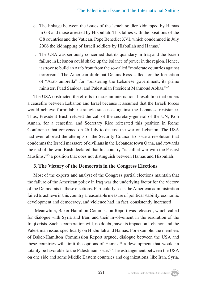- e. The linkage between the issues of the Israeli soldier kidnapped by Hamas in GS and those arrested by Hizbullah. This tallies with the positions of the G8 countries and the Vatican, Pope Benedict XVI, which condemned in July 2006 the kidnapping of Israeli soldiers by Hizbullah and Hamas.<sup>41</sup>
- f. The USA was seriously concerned that its quandary in Iraq and the Israeli failure in Lebanon could shake up the balance of power in the region. Hence, it strove to build an Arab front from the so-called "moderate countries against terrorism." The American diplomat Dennis Ross called for the formation of "Arab umbrella" for "bolstering the Lebanese government, its prime minister, Fuad Saniora, and Palestinian President Mahmoud Abbas."42

The USA obstructed the efforts to issue an international resolution that orders a ceasefire between Lebanon and Israel because it assumed that the Israeli forces would achieve formidable strategic successes against the Lebanese resistance. Thus, President Bush refused the call of the secretary-general of the UN, Kofi Annan, for a ceasefire, and Secretary Rice reiterated this position in Rome Conference that convened on 26 July to discuss the war on Lebanon. The USA had even aborted the attempts of the Security Council to issue a resolution that condemns the Israeli massacre of civilians in the Lebanese town Qana, and, towards the end of the war, Bush declared that his country "is still at war with the Fascist Muslims,"43 a position that does not distinguish between Hamas and Hizbullah.

#### **3. The Victory of the Democrats in the Congress Elections**

Most of the experts and analyst of the Congress partial elections maintain that the failure of the American policy in Iraq was the underlying factor for the victory of the Democrats in these elections. Particularly so as the American administration failed to achieve in this country a reasonable measure of political stability, economic development and democracy, and violence had, in fact, consistently increased.

 Meanwhile, Baker-Hamilton Commission Report was released, which called for dialogue with Syria and Iran, and their involvement in the resolution of the Iraqi crisis. Such a cooperation will, no doubt, have its impact on Lebanon and the Palestinian issue, specifically on Hizbullah and Hamas. For example, the members of Baker-Hamilton Commission Report argued, dialogue between the USA and these countries will limit the options of Hamas,<sup>44</sup> a development that would in totality be favorable to the Palestinian issue.<sup>45</sup> The estrangement between the USA on one side and some Middle Eastern countries and organizations, like Iran, Syria,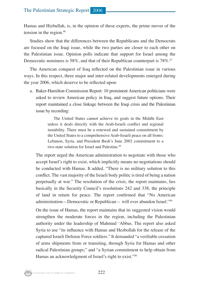Hamas and Hizbullah, is, in the opinion of these experts, the prime mover of the tension in the region.46

Studies show that the differences between the Republicans and the Democrats are focused on the Iraqi issue, while the two parties are closer to each other on the Palestinian issue. Opinion polls indicate that support for Israel among the Democratic nominees is 58%, and that of their Republican counterpart is 78%.<sup>47</sup>

The American conquest of Iraq reflected on the Palestinian issue in various ways. In this respect, three major and inter-related developments emerged during the year 2006, which deserve to be reflected upon:

a. Baker-Hamilton Commission Report: 10 prominent American politicians were asked to review American policy in Iraq, and suggest future options. Their report maintained a close linkage between the Iraqi crisis and the Palestinian issue by recording:

> The United States cannot achieve its goals in the Middle East unless it deals directly with the Arab-Israeli conflict and regional instability. There must be a renewed and sustained commitment by the United States to a comprehensive Arab-Israeli peace on all fronts: Lebanon, Syria, and President Bush's June 2002 commitment to a two-state solution for Israel and Palestine.<sup>48</sup>

The report urged the American administration to negotiate with those who accept Israel's right to exist, which implicitly means no negotiations should be conducted with Hamas. It added, "There is no military solution to this conflict. The vast majority of the Israeli body politic is tired of being a nation perpetually at war." The resolution of the crisis, the report maintains, lies basically in the Security Council's resolutions 242 and 338, the principle of land in return for peace. The report confirmed that "No American administration—Democratic or Republican— will ever abandon Israel."49

On the issue of Hamas, the report maintains that its suggested vision would strengthen the moderate forces in the region, including the Palestinian authority under the leadership of Mahmud 'Abbas. The report also asked Syria to use "its influence with Hamas and Hezbollah for the release of the captured Israeli Defense Force soldiers." It demanded "a verifiable cessation of arms shipments from or transiting, through Syria for Hamas and other radical Palestinian groups;" and "a Syrian commitment to help obtain from Hamas an acknowledgment of Israel's right to exist."50

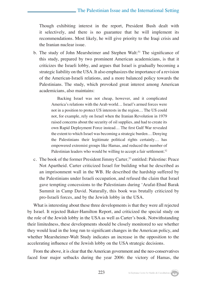Though exhibiting interest in the report, President Bush dealt with it selectively, and there is no guarantee that he will implement its recommendations. Most likely, he will give priority to the Iraqi crisis and the Iranian nuclear issue.

b. The study of John Mearsheimer and Stephen Walt:<sup>51</sup> The significance of this study, prepared by two prominent American academicians, is that it criticizes the Israeli lobby, and argues that Israel is gradually becoming a strategic liability on the USA. It also emphasizes the importance of a revision of the American-Israeli relations, and a more balanced policy towards the Palestinians. The study, which provoked great interest among American academicians, also maintains:

> Backing Israel was not cheap, however, and it complicated America's relations with the Arab world… Israel's armed forces were not in a position to protect US interests in the region… The US could not, for example, rely on Israel when the Iranian Revolution in 1979 raised concerns about the security of oil supplies, and had to create its own Rapid Deployment Force instead… The first Gulf War revealed the extent to which Israel was becoming a strategic burden… Denying the Palestinians their legitimate political rights certainly… has empowered extremist groups like Hamas, and reduced the number of Palestinian leaders who would be willing to accept a fair settlement.<sup>52</sup>

c. The book of the former President Jimmy Carter*,* 53 entitled: Palestine: Peace Not Apartheid. Carter criticized Israel for building what he described as an imprisonment wall in the WB. He described the hardship suffered by the Palestinians under Israeli occupation, and refused the claim that Israel gave tempting concessions to the Palestinians during 'Arafat-Ehud Barak Summit in Camp David. Naturally, this book was brutally criticized by pro-Israeli forces, and by the Jewish lobby in the USA.

What is interesting about these three developments is that they were all rejected by Israel. It rejected Baker-Hamilton Report, and criticized the special study on the role of the Jewish lobby in the USA as well as Carter's book. Notwithstanding their limitedness, these developments should be closely monitored to see whether they would lead in the long run to significant changes in the American policy, and whether Mearsheimer-Walt Study indicates an increase in the opposition to the accelerating influence of the Jewish lobby on the USA strategic decisions.

From the above, it is clear that the American government and the neo-conservatives faced four major setbacks during the year 2006: the victory of Hamas, the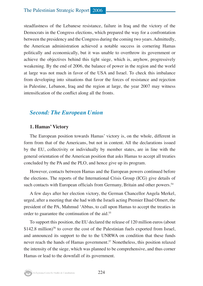steadfastness of the Lebanese resistance, failure in Iraq and the victory of the Democrats in the Congress elections, which prepared the way for a confrontation between the presidency and the Congress during the coming two years. Admittedly, the American administration achieved a notable success in cornering Hamas politically and economically, but it was unable to overthrow its government or achieve the objectives behind this tight siege, which is, anyhow, progressively weakening. By the end of 2006, the balance of power in the region and the world at large was not much in favor of the USA and Israel. To check this imbalance from developing into situations that favor the forces of resistance and rejection in Palestine, Lebanon, Iraq and the region at large, the year 2007 may witness intensification of the conflict along all the fronts.

#### *Second: The European Union*

#### **1. Hamas' Victory**

The European position towards Hamas' victory is, on the whole, different in form from that of the Americans, but not in content. All the declarations issued by the EU, collectivity or individually by member states, are in line with the general orientation of the American position that asks Hamas to accept all treaties concluded by the PA and the PLO, and hence give up its program.

However, contacts between Hamas and the European powers continued before the elections. The reports of the International Crisis Group (ICG) give details of such contacts with European officials from Germany, Britain and other powers.<sup>54</sup>

A few days after her election victory, the German Chancellor Angela Merkel, urged, after a meeting that she had with the Israeli acting Premier Ehud Olmert, the president of the PA, Mahmud 'Abbas, to call upon Hamas to accept the treaties in order to guarantee the continuation of the aid.<sup>55</sup>

To support this position, the EU declared the release of 120 million euros (about  $$142.8$  million)<sup>56</sup> to cover the cost of the Palestinian fuels exported from Israel, and announced its support to the to the UNRWA on condition that these funds never reach the hands of Hamas government.57 Nonetheless, this position relaxed the intensity of the siege, which was planned to be comprehensive, and thus corner Hamas or lead to the downfall of its government.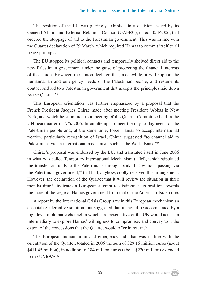The position of the EU was glaringly exhibited in a decision issued by its General Affairs and External Relations Council (GAERC), dated 10/4/2006, that ordered the stoppage of aid to the Palestinian government. This was in line with the Quartet declaration of 29 March, which required Hamas to commit itself to all peace principles.

The EU stopped its political contacts and temporarily shelved direct aid to the new Palestinian government under the guise of protecting the financial interests of the Union. However, the Union declared that, meanwhile, it will support the humanitarian and emergency needs of the Palestinian people, and resume its contact and aid to a Palestinian government that accepts the principles laid down by the Quartet.<sup>58</sup>

This European orientation was further emphasized by a proposal that the French President Jacques Chirac made after meeting President 'Abbas in New York, and which he submitted to a meeting of the Quartet Committee held in the UN headquarter on 9/5/2006. In an attempt to meet the day to day needs of the Palestinian people and, at the same time, force Hamas to accept international treaties, particularly recognition of Israel, Chirac suggested "to channel aid to Palestinians via an international mechanism such as the World Bank."59

Chirac's proposal was endorsed by the EU, and translated itself in June 2006 in what was called Temporary International Mechanism (TIM), which stipulated the transfer of funds to the Palestinians through banks but without passing via the Palestinian government, $60$  that had, anyhow, coolly received this arrangement. However, the declaration of the Quartet that it will review the situation in three months time,<sup>61</sup> indicates a European attempt to distinguish its position towards the issue of the siege of Hamas government from that of the American-Israeli one.

A report by the International Crisis Group saw in this European mechanism an acceptable alternative solution, but suggested that it should be accompanied by a high level diplomatic channel in which a representative of the UN would act as an intermediary to explore Hamas' willingness to compromise, and convey to it the extent of the concessions that the Quartet would offer in return.<sup>62</sup>

The European humanitarian and emergency aid, that was in line with the orientation of the Quartet, totaled in 2006 the sum of 329.16 million euros (about \$411.45 million), in addition to 184 million euros (about \$230 million) extended to the UNRWA.63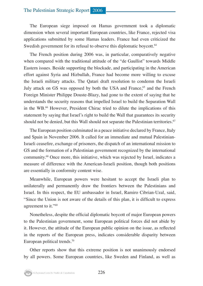The European siege imposed on Hamas government took a diplomatic dimension when several important European countries, like France, rejected visa applications submitted by some Hamas leaders. France had even criticized the Swedish government for its refusal to observe this diplomatic boycott.<sup>64</sup>

The French position during 2006 was, in particular, comparatively negative when compared with the traditional attitude of the "de Gaullist" towards Middle Eastern issues. Beside supporting the blockade, and participating in the American effort against Syria and Hizbullah, France had become more willing to excuse the Israeli military attacks. The Qatari draft resolution to condemn the Israeli July attack on GS was opposed by both the USA and France, $65$  and the French Foreign Minister Philippe Douste-Blazy, had gone to the extent of saying that he understands the security reasons that impelled Israel to build the Separation Wall in the WB.66 However, President Chirac tried to dilute the implications of this statement by saying that Israel's right to build the Wall that guarantees its security should not be denied, but this Wall should not separate the Palestinian territories.<sup>67</sup>

The European position culminated in a peace initiative declared by France, Italy and Spain in November 2006. It called for an immediate and mutual Palestinian-Israeli ceasefire, exchange of prisoners, the dispatch of an international mission to GS and the formation of a Palestinian government recognized by the international community.68 Once more, this initiative, which was rejected by Israel, indicates a measure of difference with the American-Israeli position, though both positions are essentially in conformity content wise.

Meanwhile, European powers were hesitant to accept the Israeli plan to unilaterally and permanently draw the frontiers between the Palestinians and Israel. In this respect, the EU ambassador in Israel, Ramiro Cibrian-Uzal, said, "Since the Union is not aware of the details of this plan, it is difficult to express agreement to it."69

Nonetheless, despite the official diplomatic boycott of major European powers to the Palestinian government, some European political forces did not abide by it. However, the attitude of the European public opinion on the issue, as reflected in the reports of the European press, indicates considerable disparity between European political trends.<sup>70</sup>

Other reports show that this extreme position is not unanimously endorsed by all powers. Some European countries, like Sweden and Finland, as well as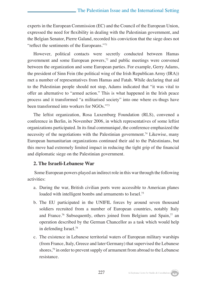experts in the European Commission (EC) and the Council of the European Union, expressed the need for flexibility in dealing with the Palestinian government, and the Belgian Senator, Pierre Galand, recorded his conviction that the siege does not "reflect the sentiments of the Europeans."<sup>71</sup>

However, political contacts were secretly conducted between Hamas government and some European powers, $7<sup>2</sup>$  and public meetings were convened between the organization and some European parties. For example, Gerry Adams, the president of Sinn Fein (the political wing of the Irish Republican Army (IRA)) met a number of representatives from Hamas and Fatah. While declaring that aid to the Palestinian people should not stop, Adams indicated that "it was vital to offer an alternative to "armed action." This is what happened in the Irish peace process and it transformed "a militarised society" into one where ex-thugs have been transformed into workers for NGOs."<sup>73</sup>

The leftist organization, Rosa Luxemburg Foundation (RLS), convened a conference in Berlin, in November 2006, in which representatives of some leftist organizations participated. In its final communiqué, the conference emphasized the necessity of the negotiations with the Palestinian government.74 Likewise, many European humanitarian organizations continued their aid to the Palestinians, but this move had extremely limited impact in reducing the tight grip of the financial and diplomatic siege on the Palestinian government.

#### **2. The Israeli-Lebanese War**

Some European powers played an indirect role in this war through the following activities:

- a. During the war, British civilian ports were accessible to American planes loaded with intelligent bombs and armaments to Israel.<sup>75</sup>
- b. The EU participated in the UNIFIL forces by around seven thousand soldiers recruited from a number of European countries, notably Italy and France.76 Subsequently, others joined from Belgium and Spain,77 an operation described by the German Chancellor as a task which would help in defending Israel.78
- c. The existence in Lebanese territorial waters of European military warships (from France, Italy, Greece and later Germany) that supervised the Lebanese shores,<sup>79</sup> in order to prevent supply of armament from abroad to the Lebanese resistance.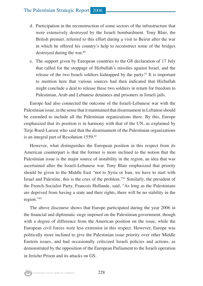#### The Palestinian Strategic Report 2006

- d. Participation in the reconstruction of some sectors of the infrastructure that were extensively destroyed by the Israeli bombardment. Tony Blair, the British premier, referred to this effort during a visit to Beirut after the war in which he offered his country's help to reconstruct some of the bridges destroyed during the war.<sup>80</sup>
- e. The support given by European countries to the G8 declaration of 17 July that called for the stoppage of Hizbullah's missiles against Israel, and the release of the two Israeli soldiers kidnapped by the party.<sup>81</sup> It is important to mention here that various sources had then indicated that Hizbullah might conclude a deal to release these two soldiers in return for freedom to Palestinian, Arab and Lebanese detainees and prisoners in Israeli jails.

Europe had also connected the outcome of the Israeli-Lebanese war with the Palestinian issue, in the sense that it maintained that disarmament in Lebanon should be extended to include all the Palestinian organizations there. By this, Europe emphasized that its position is in harmony with that of the UN, as explained by Terje Roed-Larsen who said that the disarmament of the Palestinian organizations is an integral part of Resolution 1559.82

However, what distinguishes the European position in this respect from its American counterpart is that the former is more inclined to the notion that the Palestinian issue is the major source of instability in the region, an idea that was ascertained after the Israeli-Lebanese war. Tony Blair emphasized that priority should be given to the Middle East "not to Syria or Iran, we have to start with Israel and Palestine, this is the crux of the problem."83 Similarly, the president of the French Socialist Party, Francois Hollande, said, "As long as the Palestinians are deprived from having a state and their rights, there will be no stability in the region."84

The above discourse shows that Europe participated during the year 2006 in the financial and diplomatic siege imposed on the Palestinian government, though with a degree of difference from the American position on the issue, while the European civil forces were less extremist in this respect. However, Europe was politically more inclined to give the Palestinian issue priority over other Middle Eastern issues, and had occasionally criticized Israeli policies and actions, as demonstrated by the opposition of the European Parliament to the Israeli operation in Jericho Prison and its attacks on GS.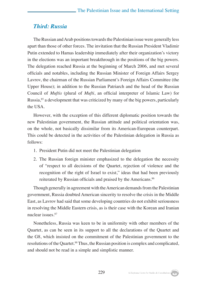#### *Third: Russia*

The Russian and Arab positions towards the Palestinian issue were generally less apart than those of other forces. The invitation that the Russian President Vladimir Putin extended to Hamas leadership immediately after their organization's victory in the elections was an important breakthrough in the positions of the big powers. The delegation reached Russia at the beginning of March 2006, and met several officials and notables, including the Russian Minister of Foreign Affairs Sergey Lavrov, the chairman of the Russian Parliament's Foreign Affairs Committee (the Upper House); in addition to the Russian Patriarch and the head of the Russian Council of *Muftis* (plural of *Mufti*, an official interpreter of Islamic Law) for Russia, $^{85}$  a development that was criticized by many of the big powers, particularly the USA.

However, with the exception of this different diplomatic position towards the new Palestinian government, the Russian attitude and political orientation was, on the whole, not basically dissimilar from its American-European counterpart. This could be detected in the activities of the Palestinian delegation in Russia as follows:

- 1. President Putin did not meet the Palestinian delegation
- 2. The Russian foreign minister emphasized to the delegation the necessity of "respect to all decisions of the Quartet, rejection of violence and the recognition of the right of Israel to exist," ideas that had been previously reiterated by Russian officials and praised by the Americans.<sup>86</sup>

Though generally in agreement with the American demands from the Palestinian government, Russia doubted American sincerity to resolve the crisis in the Middle East, as Lavrov had said that some developing countries do not exhibit seriousness in resolving the Middle Eastern crisis, as is their case with the Korean and Iranian nuclear issues.87

Nonetheless, Russia was keen to be in uniformity with other members of the Quartet, as can be seen in its support to all the declarations of the Quartet and the G8, which insisted on the commitment of the Palestinian government to the resolutions of the Quartet.<sup>88</sup> Thus, the Russian position is complex and complicated, and should not be read in a simple and simplistic manner.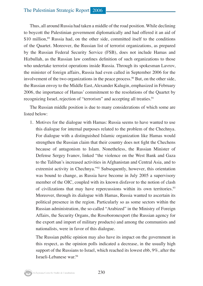Thus, all around Russia had taken a middle of the road position. While declining to boycott the Palestinian government diplomatically and had offered it an aid of \$10 million,<sup>89</sup> Russia had, on the other side, committed itself to the conditions of the Quartet. Moreover, the Russian list of terrorist organizations, as prepared by the Russian Federal Security Service (FSB), does not include Hamas and Hizbullah, as the Russian law confines definition of such organizations to those who undertake terrorist operations inside Russia. Through its spokesman Lavrov, the minister of foreign affairs, Russia had even called in September 2006 for the involvement of the two organizations in the peace process.<sup>90</sup> But, on the other side, the Russian envoy to the Middle East, Alexander Kalugin, emphasized in February 2006, the importance of Hamas' commitment to the resolutions of the Quartet by recognizing Israel, rejection of "terrorism" and accepting all treaties.<sup>91</sup>

The Russian middle position is due to many considerations of which some are listed below:

1. Motives for the dialogue with Hamas: Russia seems to have wanted to use this dialogue for internal purposes related to the problem of the Chechnya. For dialogue with a distinguished Islamic organization like Hamas would strengthen the Russian claim that their country does not fight the Chechens because of antagonism to Islam. Nonetheless, the Russian Minister of Defense Sergey Ivanov, linked "the violence on the West Bank and Gaza to the Taliban's increased activities in Afghanistan and Central Asia, and to extremist activity in Chechnya."<sup>92</sup> Subsequently, however, this orientation was bound to change, as Russia have become in July 2005 a supervisory member of the OIC, coupled with its known disfavor to the notion of clash of civilizations that may have repercussions within its own territories.<sup>93</sup> Moreover, through its dialogue with Hamas, Russia wanted to ascertain its political presence in the region. Particularly so as some sectors within the Russian administration, the so-called "Arabized" in the Ministry of Foreign Affairs, the Security Organs, the Rosoboronexport (the Russian agency for the export and import of military products) and among the communists and nationalists, were in favor of this dialogue.

The Russian public opinion may also have its impact on the government in this respect, as the opinion polls indicated a decrease, in the usually high support of the Russians to Israel, which reached its lowest ebb, 9%, after the Israeli-Lebanese war.94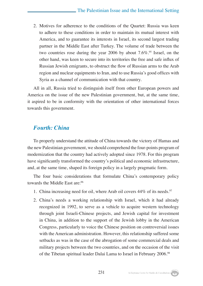2. Motives for adherence to the conditions of the Quartet: Russia was keen to adhere to these conditions in order to maintain its mutual interest with America, and to guarantee its interests in Israel, its second largest trading partner in the Middle East after Turkey. The volume of trade between the two countries rose during the year 2006 by about  $7.6\%$ .<sup>95</sup> Israel, on the other hand, was keen to secure into its territories the free and safe influx of Russian Jewish emigrants, to obstruct the flow of Russian arms to the Arab region and nuclear equipments to Iran, and to use Russia's good offices with Syria as a channel of communication with that country.

All in all, Russia tried to distinguish itself from other European powers and America on the issue of the new Palestinian government, but, at the same time, it aspired to be in conformity with the orientation of other international forces towards this government.

# *Fourth: China*

To properly understand the attitude of China towards the victory of Hamas and the new Palestinian government, we should comprehend the four-points program of modernization that the country had actively adopted since 1978. For this program have significantly transformed the country's political and economic infrastructure, and, at the same time, shaped its foreign policy in a largely pragmatic form.

The four basic considerations that formulate China's contemporary policy towards the Middle East are:96

- 1. China increasing need for oil, where Arab oil covers 44% of its needs.<sup>97</sup>
- 2. China's needs a working relationship with Israel, which it had already recognized in 1992, to serve as a vehicle to acquire western technology through joint Israeli-Chinese projects, and Jewish capital for investment in China, in addition to the support of the Jewish lobby in the American Congress, particularly to voice the Chinese position on controversial issues with the American administration. However, this relationship suffered some setbacks as was in the case of the abrogation of some commercial deals and military projects between the two countries, and on the occasion of the visit of the Tibetan spiritual leader Dalai Lama to Israel in February 2006.98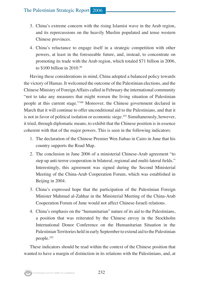#### The Palestinian Strategic Report 2006

- 3. China's extreme concern with the rising Islamist wave in the Arab region, and its repercussions on the heavily Muslim populated and tense western Chinese provinces.
- 4. China's reluctance to engage itself in a strategic competition with other powers, at least in the foreseeable future, and, instead, to concentrate on promoting its trade with the Arab region, which totaled \$71 billion in 2006, to \$100 billion in 2010.<sup>99</sup>

Having these considerations in mind, China adopted a balanced policy towards the victory of Hamas. It welcomed the outcome of the Palestinian elections, and the Chinese Ministry of Foreign Affairs called in February the international community "not to take any measures that might worsen the living situation of Palestinian people at this current stage."100 Moreover, the Chinese government declared in March that it will continue to offer unconditional aid to the Palestinians, and that it is not in favor of political isolation or economic siege.<sup>101</sup> Simultaneously, however, it tried, through diplomatic means, to exhibit that the Chinese position is in essence coherent with that of the major powers. This is seen in the following indicators:

- 1. The declaration of the Chinese Premier Wen Jiabao in Cairo in June that his country supports the Road Map.
- 2. The conclusion in June 2006 of a ministerial Chinese-Arab agreement "to step up anti-terror cooperation in bilateral, regional and multi-lateral fields." Interestingly, this agreement was signed during the Second Ministerial Meeting of the China-Arab Cooperation Forum, which was established in Beijing in 2004.
- 3. China's expressed hope that the participation of the Palestinian Foreign Minister Mahmud al-Zahhar in the Ministerial Meeting of the China-Arab Cooperation Forum of June would not affect Chinese-Israeli relations.
- 4. China's emphasis on the "humanitarian" nature of its aid to the Palestinians, a position that was reiterated by the Chinese envoy in the Stockholm International Donor Conference on the Humanitarian Situation in the Palestinian Territories held in early September to extend aid to the Palestinian people.102

These indicators should be read within the context of the Chinese position that wanted to have a margin of distinction in its relations with the Palestinians, and, at

Al-Zaytouna Centre for Studies & Consultations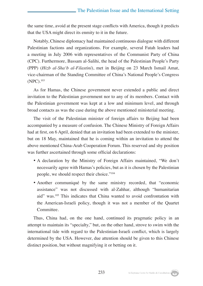the same time, avoid at the present stage conflicts with America, though it predicts that the USA might direct its enmity to it in the future.

Notably, Chinese diplomacy had maintained continuous dialogue with different Palestinian factions and organizations. For example, several Fatah leaders had a meeting in July 2006 with representatives of the Communist Party of China (CPC). Furthermore, Bassam al-Salihi, the head of the Palestinian People's Party (PPP) (*Hizb al-Sha'b al-Filastini*), met in Beijing on 23 March Ismail Amat, vice-chairman of the Standing Committee of China's National People's Congress (NPC).103

As for Hamas, the Chinese government never extended a public and direct invitation to the Palestinian government nor to any of its members. Contact with the Palestinian government was kept at a low and minimum level, and through broad contacts as was the case during the above mentioned ministerial meeting.

The visit of the Palestinian minister of foreign affairs to Beijing had been accompanied by a measure of confusion. The Chinese Ministry of Foreign Affairs had at first, on 6 April, denied that an invitation had been extended to the minister, but on 18 May, maintained that he is coming within an invitation to attend the above mentioned China-Arab Cooperation Forum. This reserved and shy position was further ascertained through some official declarations:

- A declaration by the Ministry of Foreign Affairs maintained, "We don't necessarily agree with Hamas's policies, but as it is chosen by the Palestinian people, we should respect their choice."104
- Another communiqué by the same ministry recorded, that "economic assistance" was not discussed with al-Zahhar, although "humanitarian aid" was.105 This indicates that China wanted to avoid confrontation with the American-Israeli policy, though it was not a member of the Quartet Committee.

Thus, China had, on the one hand, continued its pragmatic policy in an attempt to maintain its "specialty," but, on the other hand, strove to swim with the international tide with regard to the Palestinian-Israeli conflict, which is largely determined by the USA. However, due attention should be given to this Chinese distinct position, but without magnifying it or betting on it.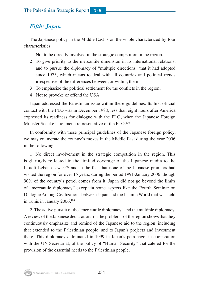# *Fifth: Japan*

The Japanese policy in the Middle East is on the whole characterized by four characteristics:

- 1. Not to be directly involved in the strategic competition in the region.
- 2. To give priority to the mercantile dimension in its international relations, and to pursue the diplomacy of "multiple directions" that it had adopted since 1973, which means to deal with all countries and political trends irrespective of the differences between, or within, them.
- 3. To emphasize the political settlement for the conflicts in the region.
- 4. Not to provoke or offend the USA.

Japan addressed the Palestinian issue within these guidelines. Its first official contact with the PLO was in December 1988, less than eight hours after America expressed its readiness for dialogue with the PLO, when the Japanese Foreign Minister Sosuke Uno, met a representative of the PLO.<sup>106</sup>

In conformity with these principal guidelines of the Japanese foreign policy, we may enumerate the country's moves in the Middle East during the year 2006 in the following:

1. No direct involvement in the strategic competition in the region. This is glaringly reflected in the limited coverage of the Japanese media to the Israeli-Lebanese war,<sup>107</sup> and in the fact that none of the Japanese premiers had visited the region for over 15 years, during the period 1991-January 2006, though 90% of the country's petrol comes from it. Japan did not go beyond the limits of "mercantile diplomacy" except in some aspects like the Fourth Seminar on Dialogue Among Civilizations between Japan and the Islamic World that was held in Tunis in January 2006.108

2. The active pursuit of the "mercantile diplomacy" and the multiple diplomacy. A review of the Japanese declarations on the problems of the region shows that they continuously emphasize and remind of the Japanese aid to the region, including that extended to the Palestinian people, and to Japan's projects and investment there. This diplomacy culminated in 1999 in Japan's patronage, in cooperation with the UN Secretariat, of the policy of "Human Security" that catered for the provision of the essential needs to the Palestinian people.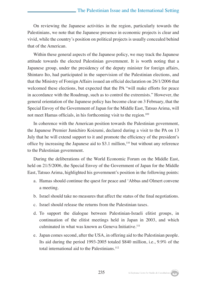On reviewing the Japanese activities in the region, particularly towards the Palestinians, we note that the Japanese presence in economic projects is clear and vivid, while the country's position on political projects is usually concealed behind that of the American.

Within these general aspects of the Japanese policy, we may track the Japanese attitude towards the elected Palestinian government. It is worth noting that a Japanese group, under the presidency of the deputy minister for foreign affairs, Shintaro Ito, had participated in the supervision of the Palestinian elections, and that the Ministry of Foreign Affairs issued an official declaration on 26/1/2006 that welcomed these elections, but expected that the PA "will make efforts for peace in accordance with the Roadmap, such as to control the extremists." However, the general orientation of the Japanese policy has become clear on 3 February, that the Special Envoy of the Government of Japan for the Middle East, Tatsuo Arima, will not meet Hamas officials, in his forthcoming visit to the region.<sup>109</sup>

In coherence with the American position towards the Palestinian government, the Japanese Premier Junichiro Koizumi, declared during a visit to the PA on 13 July that he will extend support to it and promote the efficiency of the president's office by increasing the Japanese aid to  $$3.1$  million,<sup>110</sup> but without any reference to the Palestinian government.

During the deliberations of the World Economic Forum on the Middle East, held on 21/5/2006, the Special Envoy of the Government of Japan for the Middle East, Tatsuo Arima, highlighted his government's position in the following points:

- a. Hamas should continue the quest for peace and 'Abbas and Olmert convene a meeting.
- b. Israel should take no measures that affect the status of the final negotiations.
- c. Israel should release the returns from the Palestinian taxes.
- d. To support the dialogue between Palestinian-Israeli elitist groups, in continuation of the elitist meetings held in Japan in 2003, and which culminated in what was known as Geneva Initiative.<sup>111</sup>
- e. Japan comes second, after the USA, in offering aid to the Palestinian people. Its aid during the period 1993-2005 totaled \$840 million, i.e., 9.9% of the total international aid to the Palestinians.<sup>112</sup>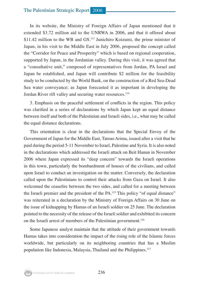In its website, the Ministry of Foreign Affairs of Japan mentioned that it extended \$3.72 million aid to the UNRWA in 2006, and that it offered about \$11.42 million to the WB and GS.<sup>113</sup> Junichiro Koizumi, the prime minister of Japan, in his visit to the Middle East in July 2006, proposed the concept called the "Corridor for Peace and Prosperity" which is based on regional cooperation, supported by Japan, in the Jordanian valley. During this visit, it was agreed that a "consultative unit," composed of representatives from Jordan, PA Israel and Japan be established, and Japan will contribute \$2 million for the feasibility study to be conducted by the World Bank, on the construction of a Red Sea-Dead Sea water conveyance; as Japan forecasted it as important in developing the Jordan River rift valley and securing water resources.<sup>114</sup>

3. Emphasis on the peaceful settlement of conflicts in the region. This policy was clarified in a series of declarations by which Japan kept an equal distance between itself and both of the Palestinian and Israeli sides, i.e., what may be called the equal distance declarations.

This orientation is clear in the declarations that the Special Envoy of the Government of Japan for the Middle East, Tatsuo Arima, issued after a visit that he paid during the period 5-11 November to Israel, Palestine and Syria. It is also noted in the declarations which addressed the Israeli attack on Beit Hanun in November 2006 where Japan expressed its "deep concern" towards the Israeli operations in this town, particularly the bombardment of houses of the civilians, and called upon Israel to conduct an investigation on the matter. Conversely, the declaration called upon the Palestinians to control their attacks from Gaza on Israel. It also welcomed the ceasefire between the two sides, and called for a meeting between the Israeli premier and the president of the PA.115 This policy "of equal distance" was reiterated in a declaration by the Ministry of Foreign Affairs on 30 June on the issue of kidnapping by Hamas of an Israeli soldier on 25 June. The declaration pointed to the necessity of the release of the Israeli soldier and exhibited its concern on the Israeli arrest of members of the Palestinian government.<sup>116</sup>

Some Japanese analyst maintain that the attitude of their government towards Hamas takes into consideration the impact of the rising role of the Islamic forces worldwide, but particularly on its neighboring countries that has a Muslim population like Indonesia, Malaysia, Thailand and the Philippines.<sup>117</sup>

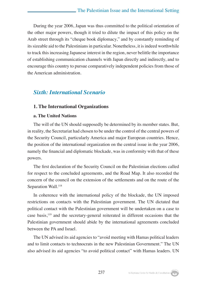During the year 2006, Japan was thus committed to the political orientation of the other major powers, though it tried to dilute the impact of this policy on the Arab street through its "cheque book diplomacy," and by constantly reminding of its sizeable aid to the Palestinians in particular. Nonetheless, it is indeed worthwhile to track this increasing Japanese interest in the region, never belittle the importance of establishing communication channels with Japan directly and indirectly, and to encourage this country to pursue comparatively independent policies from those of the American administration.

# *Sixth: International Scenario*

#### **1. The International Organizations**

#### **a. The United Nations**

The will of the UN should supposedly be determined by its member states. But, in reality, the Secretariat had chosen to be under the control of the central powers of the Security Council, particularly America and major European countries. Hence, the position of the international organization on the central issue in the year 2006, namely the financial and diplomatic blockade, was in conformity with that of these powers.

The first declaration of the Security Council on the Palestinian elections called for respect to the concluded agreements, and the Road Map. It also recorded the concern of the council on the extension of the settlements and on the route of the Separation Wall.<sup>118</sup>

In coherence with the international policy of the blockade, the UN imposed restrictions on contacts with the Palestinian government. The UN dictated that political contact with the Palestinian government will be undertaken on a case to case basis,119 and the secretary-general reiterated in different occasions that the Palestinian government should abide by the international agreements concluded between the PA and Israel.

The UN advised its aid agencies to "avoid meeting with Hamas political leaders and to limit contacts to technocrats in the new Palestinian Government." The UN also advised its aid agencies "to avoid political contact" with Hamas leaders. UN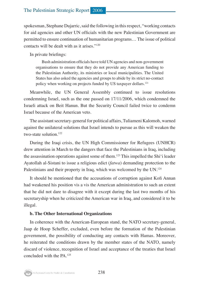spokesman, Stephane Dujarric, said the following in this respect, "working contacts for aid agencies and other UN officials with the new Palestinian Government are permitted to ensure continuation of humanitarian programs… The issue of political contacts will be dealt with as it arises."120

In private briefings:

Bush administration officials have told UN agencies and non-government organisations to ensure that they do not provide any American funding to the Palestinian Authority, its ministries or local municipalities. The United States has also asked the agencies and groups to abide by its strict no-contact policy when working on projects funded by US taxpayer dollars.121

Meanwhile, the UN General Assembly continued to issue resolutions condemning Israel, such as the one passed on 17/11/2006, which condemned the Israeli attack on Beit Hanun. But the Security Council failed twice to condemn Israel because of the American veto.

The assistant secretary-general for political affairs, Tuliameni Kalomoh, warned against the unilateral solutions that Israel intends to pursue as this will weaken the two-state solution.122

During the Iraqi crisis, the UN High Commissioner for Refugees (UNHCR) drew attention in March to the dangers that face the Palestinians in Iraq, including the assassination operations against some of them.123 This impelled the Shi'i leader Ayatollah al-Sistani to issue a religious edict (*fatwa*) demanding protection to the Palestinians and their property in Iraq, which was welcomed by the UN.<sup>124</sup>

It should be mentioned that the accusations of corruption against Kofi Annan had weakened his position vis a vis the American administration to such an extent that he did not dare to disagree with it except during the last two months of his secretaryship when he criticized the American war in Iraq, and considered it to be illegal.

#### **b. The Other International Organizations**

In coherence with the American-European stand, the NATO secretary-general, Jaap de Hoop Scheffer, excluded, even before the formation of the Palestinian government, the possibility of conducting any contacts with Hamas. Moreover, he reiterated the conditions drawn by the member states of the NATO, namely discard of violence, recognition of Israel and acceptance of the treaties that Israel concluded with the PA.125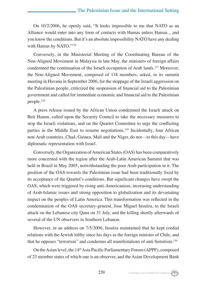On 10/2/2006, he openly said, "It looks impossible to me that NATO as an Alliance would enter into any form of contacts with Hamas unless Hamas... and you know the conditions. But it's an absolute impossibility NATO have any dealing with Hamas by NATO."<sup>126</sup>

Conversely, in the Ministerial Meeting of the Coordinating Bureau of the Non-Aligned Movement in Malaysia in late May, the ministers of foreign affairs condemned the continuation of the Israeli occupation of Arab lands.127 Moreover, the Non-Aligned Movement, composed of 118 members, asked, in its summit meeting in Havana in September 2006, for the stoppage of the Israeli aggression on the Palestinian people, criticized the suspension of financial aid to the Palestinian government and called for immediate economic and financial aid to the Palestinian people.128

A press release issued by the African Union condemned the Israeli attack on Beit Hanun, called upon the Security Council to take the necessary measures to stop the Israeli violations, and on the Quartet Committee to urge the conflicting parties in the Middle East to resume negotiations.<sup>129</sup> Incidentally, four African non-Arab countries, Chad, Guinea, Mali and the Niger, do not—to this day—have diplomatic representation with Israel.

Conversely, the Organization of American States (OAS) has been comparatively more concerned with the region after the Arab-Latin American Summit that was held in Brazil in May 2005, notwithstanding the poor Arab participation in it. The position of the OAS towards the Palestinian issue had been traditionally fixed by its acceptance of the Quartet's conditions. But significant changes have swept the OAS, which were triggered by rising anti-Americanism, increasing understanding of Arab-Islamic issues and strong opposition to globalization and its devastating impact on the peoples of Latin America. This transformation was reflected in the condemnation of the OAS secretary-general, Jose Miguel Insulza, to the Israeli attack on the Lebanese city Qana on 31 July, and the killing shortly afterwards of several of the UN observers in Southern Lebanon.

However, in an address on 7/5/2006, Insulza maintained that he kept cordial relations with the Jewish lobby since his days as the foreign minister of Chile, and that he opposes "terrorism" and condemns all manifestations of anti-Semitism.130

On the Asian level, the 14<sup>th</sup> Asia Pacific Parliamentary Forum (APPF), composed of 23 member states of which one is an observer, and the Asian Development Bank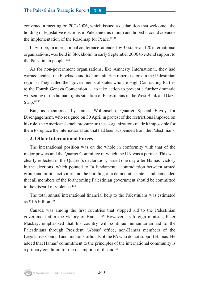convened a meeting on 20/1/2006, which issued a declaration that welcome "the holding of legislative elections in Palestine this month and hoped it could advance the implementation of the Roadmap for Peace."131

In Europe, an international conference, attended by 35 states and 20 international organizations, was held in Stockholm in early September 2006 to extend support to the Palestinian people.<sup>132</sup>

As for non-government organizations, like Amnesty International, they had warned against the blockade and its humanitarian repercussions in the Palestinian regions. They called the "governments of states who are High Contracting Parties to the Fourth Geneva Convention,… to take action to prevent a further dramatic worsening of the human rights situation of Palestinians in the West Bank and Gaza Strip."133

But, as mentioned by James Wolfensohn, Quartet Special Envoy for Disengagement, who resigned on 30 April in protest of the restrictions imposed on his role, the American-Israeli pressure on these organizations made it impossible for them to replace the international aid that had been suspended from the Palestinians.

#### **2. Other International Forces**

The international position was on the whole in conformity with that of the major powers and the Quartet Committee of which the UN was a partner. This was clearly reflected in the Quartet's declaration, issued one day after Hamas' victory in the elections, which pointed to "a fundamental contradiction between armed group and militia activities and the building of a democratic state," and demanded that all members of the forthcoming Palestinian government should be committed to the discard of violence.134

The total annual international financial help to the Palestinians was estimated as  $$1.6$  billion.<sup>135</sup>

Canada was among the first countries that stopped aid to the Palestinian government after the victory of Hamas.136 However, its foreign minister, Peter Mackay, emphasized that his country will continue humanitarian aid to the Palestinians through President 'Abbas' office, non-Hamas members of the Legislative Council and mid rank officials of the PA who do not support Hamas. He added that Hamas' commitment to the principles of the international community is a primary condition for the resumption of the aid.<sup>137</sup>

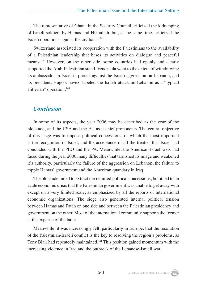The representative of Ghana in the Security Council criticized the kidnapping of Israeli soldiers by Hamas and Hizbullah, but, at the same time, criticized the Israeli operations against the civilians.138

Switzerland associated its cooperation with the Palestinians to the availability of a Palestinian leadership that bases its activities on dialogue and peaceful means.139 However, on the other side, some countries had openly and clearly supported the Arab-Palestinian stand. Venezuela went to the extent of withdrawing its ambassador in Israel in protest against the Israeli aggression on Lebanon, and its president, Hugo Chavez, labeled the Israeli attack on Lebanon as a "typical Hitlerian" operation.<sup>140</sup>

#### *Conclusion*

In some of its aspects, the year 2006 may be described as the year of the blockade, and the USA and the EU as it chief proponents. The central objective of this siege was to impose political concessions, of which the most important is the recognition of Israel, and the acceptance of all the treaties that Israel had concluded with the PLO and the PA. Meanwhile, the American-Israeli axis had faced during the year 2006 many difficulties that tarnished its image and weakened it's authority, particularly the failure of the aggression on Lebanon, the failure to topple Hamas' government and the American quandary in Iraq.

The blockade failed to extract the required political concessions, but it led to an acute economic crisis that the Palestinian government was unable to get away with except on a very limited scale, as emphasized by all the reports of international economic organizations. The siege also generated internal political tension between Hamas and Fatah on one side and between the Palestinian presidency and government on the other. Most of the international community supports the former at the expense of the latter.

Meanwhile, it was increasingly felt, particularly in Europe, that the resolution of the Palestinian-Israeli conflict is the key to resolving the region's problems, as Tony Blair had repeatedly maintained.141 This position gained momentum with the increasing violence in Iraq and the outbreak of the Lebanese-Israeli war.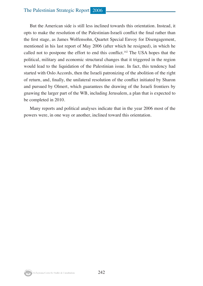#### The Palestinian Strategic Report 2006

But the American side is still less inclined towards this orientation. Instead, it opts to make the resolution of the Palestinian-Israeli conflict the final rather than the first stage, as James Wolfensohn, Quartet Special Envoy for Disengagement, mentioned in his last report of May 2006 (after which he resigned), in which he called not to postpone the effort to end this conflict.<sup>142</sup> The USA hopes that the political, military and economic structural changes that it triggered in the region would lead to the liquidation of the Palestinian issue. In fact, this tendency had started with Oslo Accords, then the Israeli patronizing of the abolition of the right of return, and, finally, the unilateral resolution of the conflict initiated by Sharon and pursued by Olmert, which guarantees the drawing of the Israeli frontiers by gnawing the larger part of the WB, including Jerusalem, a plan that is expected to be completed in 2010.

Many reports and political analyses indicate that in the year 2006 most of the powers were, in one way or another, inclined toward this orientation.

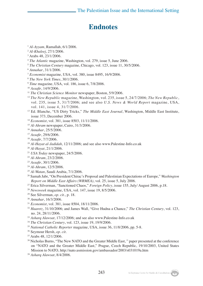# **Endnotes**

- *Al-Ayyam*, Ramallah, 6/1/2006.
- *Al-Khaleej*, 27/1/2006.
- Arabs 48, 23/1/2006.
- *The Atlantic* magazine, Washington, vol. 279, issue 5, June 2006.
- *The Christian Century* magazine, Chicago, vol. 123, issue 11, 30/5/2006.
- *Annahar*, 31/1/2006.
- *Economist* magazine, USA, vol. 380, issue 8495, 16/9/2006.
- *The New York Times*, 30/1/2006.
- *Time* magazine, USA, vol. 186, issue 6, 7/8/2006.
- *Assafir*, 14/9/2006.
- *The Christian Science Monitor* newspaper, Boston, 5/9/2006.
- *The New Republic* magazine, Washington, vol. 235, issue 5, 24/7/2006; *The New Republic*, vol. 235, issue 5, 31/7/2006; and see also *U.S. News & World Report* magazine, USA, vol. 141, issue 4, 31/7/2006.
- <sup>13</sup> Ed. Blanche, "US Dirty Tricks," *The Middle East Journal*, Washington, Middle East Institute, issue 373, December 2006.
- *Economist*, vol. 381, issue 8503, 11/11/2006.
- *Al-Ahram* newspaper, Cairo, 31/3/2006.
- *Annahar*, 25/5/2006.
- *Assafir*, 29/6/2006.
- *Assafir*, 7/7/2006.
- *Al-Hayat al-Jadidah*, 12/11/2006; and see also www.Palestine-Info.co.uk
- *Al-Hayat*, 21/1/2006.
- *USA Today* newspaper, 24/5/2006.
- *Al-Ahram*, 23/2/2006.
- *Assafir*, 30/1/2006.
- *Al-Ahram*, 12/5/2006.
- *Al-Watan*, Saudi Arabia, 7/1/2006.
- Samah Jabr, "On President Chirac's Proposal and Palestinian Expectations of Europe," *Washington Report on Middle East Affairs (WRMEA)*, vol. 25, issue 5, July 2006.
- 27 Erica Silverman, "Sanctioned Chaos," *Foreign Policy*, issue 155, July/ August 2006, p.18.
- *Newsweek* magazine, USA, vol. 147, issue 19, 8/5/2006.
- 29 See Silverman, *op. cit*., p. 18. 30 *Annahar*, 16/3/2006.
- 
- *Economist*, vol. 381, issue 8504, 18/11/2006.
- *Haaretz*, 31/10/2006; and James Wall, "Give Hudna a Chance," *The Christian Century*, vol. 123, no. 24, 28/11/2006.
- *Asharq Alawsat*, 17/12/2006; and see also www.Palestine-Info.co.uk
- *The Christian Century*, vol. 123, issue 19, 19/9/2006.
- *National Catholic Reporter* magazine, USA, issue 36, 11/8/2006, pp. 5-8.
- 36 Seymour Hersh, *op. cit*.
- Arabs 48, 12/1/2006.
- <sup>38</sup> Nicholas Burns, "The New NATO and the Greater Middle East," paper presented at the conference on "NATO and the Greater Middle East," Prague, Czech Republic, 19/10/2003, United States Mission to NATO, http://nato.usmission.gov/ambassador/2003/s031019a.htm
- *Asharq Alawsat*, 8/4/2006.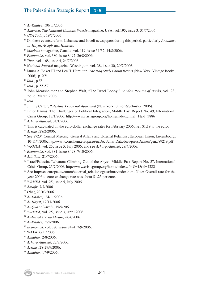## The Palestinian Strategic Report 2006

- *Al-Khaleej*, 30/11/2006.
- *America: The National Catholic Weekly* magazine, USA, vol.195, issue 3, 31/7/2006.
- *USA Today*, 19/7/2006.
- On these events, refer to Lebanese and Israeli newspapers during this period, particularly *Annahar*, *al-Hayat, Assafir* and *Haaretz.*
- *Maclean's* magazine, Canada, vol. 119, issue 31/32, 14/8/2006.
- *Economist*, vol. 380, issue 8492, 26/8/2006.
- *Time*, vol. 168, issue 4, 24/7/2006.
- *National Journal* magazine, Washington, vol. 38, issue 30, 29/7/2006.
- 48 James A. Baker III and Lee H. Hamilton, *The Iraq Study Group Report* (New York: Vintage Books, 2006), p. XV.
- *Ibid*., p.55.
- *Ibid*., p. 55-57.
- 51 John Mearsheimer and Stephen Walt, "The Israel Lobby," *London Review of Books*, vol. 28, no. 6, March 2006.
- *Ibid*.
- 53 Jimmy Carter, *Palestine:Peace not Aparthied* (New York: Simon&Schuster, 2006).
- 54 Enter Hamas: The Challenges of Political Integration, Middle East Report No. 49, International Crisis Group, 18/1/2006, http://www.crisisgroup.org/home/index.cfm?l=1&id=3886
- *Asharq Alawsat*, 31/1/2006.
- <sup>56</sup> This is calculated on the euro-dollar exchange rates for February 2006, i.e., \$1.19 to the euro.
- *Assafir*, 28/2/2006.
- 58 See 2723rd Council Meeting: General Affairs and External Relations, European Union, Luxembourg, 10-11/4/2006, http://www.consilium.europa.eu/ueDocs/cms\_Data/docs/pressData/en/gena/89219.pdf
- *WRMEA*, vol. 25, issue 5, July 2006; and see *Asharq Alawsat*, 29/4/2006.
- *Economist*, vol. 381, issue 8498, 7/10/2006.
- *Alittihad*, 21/7/2006.
- Israel/Palestine/Lebanon: Climbing Out of the Abyss, Middle East Report No. 57, International Crisis Group, 25/7/2006, http://www.crisisgroup.org/home/index.cfm?l=1&id=4282
- <sup>63</sup> See http://ec.europa.eu/comm/external\_relations/gaza/intro/index.htm. Note: Overall rate for the year 2006 to euro exchange rate was about \$1.25 per euro.
- *WRMEA*, vol. 25, issue 5, July 2006.
- *Assafir*, 7/7/2006.
- *Okaz*, 20/10/2006.
- *Al-Khaleej*, 24/11/2006.
- *Al-Hayat*, 17/11/2006.
- *Al-Quds al-Arabi*, 15/5/206.
- *WRMEA,* vol. 25, issue 3, April 2006.
- *Al-Hayat* and *al-Ahram*, 24/4/2006.
- *Al-Khaleej*, 2/5/2006.
- *Economist*, vol. 380, issue 8494, 7/9/2006.
- WAFA, 6/11/2006.
- *Annahar*, 2/8/2006.
- *Asharq Alawsat*, 27/8/2006.
- *Assafir*, 28-29/9/2006.
- *Annahar*, 17/9/2006.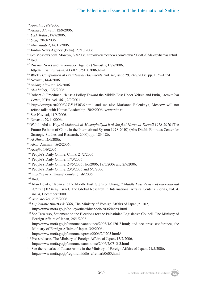- <sup>79</sup> *Annahar*, 9/9/2006.
- <sup>80</sup> *Asharq Alawsat*, 12/9/2006.
- <sup>81</sup> *USA Today*, 17/7/2006.
- <sup>82</sup> *Okaz*, 20/3/2006.
- <sup>83</sup> *Almustaqbal*, 14/11/2006.
- <sup>84</sup> Jordan News Agency (Petra), 27/10/2006.
- <sup>85</sup> See Mosnews.com, Moscow, 3/3/2006, http://www.mosnews.com/news/2006/03/03/lavrovhamas.shtml  $86$  Ibid.
- <sup>87</sup> Russian News and Information Agency (Novosti), 13/7/2006, http://en.rian.ru/russia/20060713/51303086.html
- <sup>88</sup> *Weekly Compilation of Presidential Documents*, vol. 42, issue 29, 24/7/2006, pp. 1352-1354.
- <sup>89</sup> Novosti, 14/4/2006.
- <sup>90</sup> *Asharq Alawsat*, 7/9/2006.
- <sup>91</sup> *Al-Khaleej*, 13/2/2006.
- <sup>92</sup> Robert O. Freedman, "Russia Policy Toward the Middle East Under Yeltsin and Putin," *Jerusalem Letter*, JCPA, vol. 461, 2/9/2001.
- <sup>93</sup> http://vremya.ru\2006\97\5\153636.html; and see also Marianna Belenkaya, Moscow will not refuse talks with Hamas Leadership, 20/2/2006, www.rain.ru
- <sup>94</sup> See Novosti, 11/8/2006.
- 95 Novosti, 29/11/2006.
- 96 Walid 'Abd al-Hay, *al-Makanah al-Mustaqbaliyah li al-Sin fi al-Nizam al-Duwali 1978-2010* (The Future Position of China in the International System 1978-2010) (Abu Dhabi: Emirates Center for Strategic Studies and Research, 2000), pp. 183-186.
- <sup>97</sup> *Al-Hayat*, 2/6/2006.
- <sup>98</sup> *Alrai*, Amman, 16/2/2006.
- <sup>99</sup> *Assafir*, 1/6/2006.
- <sup>100</sup> People's Daily Online, China, 24/2/2006.
- <sup>101</sup> People's Daily Online, 17/3/2006.
- <sup>102</sup> People's Daily Online, 24/5/2006, 1/6/2006, 19/6/2006 and 2/9/2006.
- <sup>103</sup> People's Daily Online, 23/3/2006 and 6/7/2006.
- <sup>104</sup> http://news.xinhuanet.com/english/2006
- 105 Ibid.
- 106 Alan Dowty, "Japan and the Middle East: Signs of Change," *Middle East Review of International Affairs (MERIA)*, Israel, The Global Research in International Affairs Center (Gloria), vol. 4, no. 4, December 2000.
- <sup>107</sup> *Asia Weekly*, 27/8/2006.
- <sup>108</sup> *Diplomatic BlueBook 2006*, The Ministry of Foreign Affairs of Japan, p. 102, http://www.mofa.go.jp/policy/other/bluebook/2006/index.html
- <sup>109</sup> See Taro Aso, Statement on the Elections for the Palestinian Legislative Council, The Ministry of Foreign Affairs of Japan, 26/1/2006,
	- http://www.mofa.go.jp/announce/announce/2006/1/0126-2.html; and see press conference, the Ministry of Foreign Affairs of Japan, 3/2/2006,
	- http://www.mofa.go.jp/announce/press/2006/2/0203.html#1
- <sup>110</sup> Press release, The Ministry of Foreign Affairs of Japan, 13/7/2006, http://www.mofa.go.jp/announce/announce/2006/7/0713-3.html
- <sup>111</sup> See the remarks of Tatsuo Arima in the Ministry of Foreign Affairs of Japan, 21/5/2006, http://www.mofa.go.jp/region/middle\_e/remark0605.html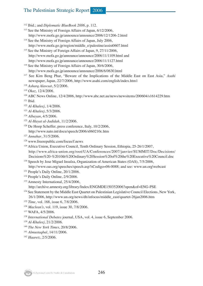# The Palestinian Strategic Report 2006

- 112 Ibid.; and *Diplomatic BlueBook 2006*, p. 112.
- <sup>113</sup> See the Ministry of Foreign Affairs of Japan, 6/12/2006, http://www.mofa.go.jp/announce/announce/2006/12/1206-2.html
- 114 See the Ministry of Foreign Affairs of Japan, July 2006, http://www.mofa.go.jp/region/middle\_e/palestine/assist0607.html
- <sup>115</sup> See the Ministry of Foreign Affairs of Japan, 9, 27/11/2006, http://www.mofa.go.jp/announce/announce/2006/11/1109.html and http://www.mofa.go.jp/announce/announce/2006/11/1127.html
- <sup>116</sup> See the Ministry of Foreign Affairs of Japan, 30/6/2006, http://www.mofa.go.jp/announce/announce/2006/6/0630.html
- 117 See Kim Beng Phar, "Beware of the Implications of the Middle East on East Asia," *Asahi* newspaper, Japan, 22/7/2006, http://www.asahi.com/english/index.htm1
- <sup>118</sup> *Asharq Alawsat*, 5/2/2006.
- <sup>119</sup> *Okaz*, 12/4/2006.
- <sup>120</sup> ABC News Online, 12/4/2006, http://www.abc.net.au/news/newsitems/200604/s1614229.htm 121 Ibid.
- <sup>122</sup> *Al-Khaleej*, 1/4/2006.
- <sup>123</sup> *Al-Khaleej*, 5/3/2006.
- <sup>124</sup> *Albayan*, 4/5/2006.
- <sup>125</sup> *Al-Hayat al-Jadidah*, 11/2/2006.
- <sup>126</sup> De Hoop Scheffer, press conference, Italy, 10/2/2006, http://www.nato.int/docu/speech/2006/s060210c.htm
- <sup>127</sup> *Annahar*, 31/5/2006.
- <sup>128</sup> www.freerepublic.com/focus/f.news
- <sup>129</sup> Africa Union, Executive Council, Tenth Ordinary Session, Ethiopia, 25-26/1/2007, http://www.africa-union.org/root/UA/Conferences/2007/janvier/SUMMIT/Doc/Decisions/ Decisions%20-%2010th%20Ordinary%20Session%20of%20the%20Executive%20Council.doc
- <sup>130</sup> Speech by Jose Miguel Insulza, Organization of American States (OAS), 7/5/2006, http://www.oas.org/speeches/speech.asp?sCodigo=06-0088; and see: www.un.org\webcast
- <sup>131</sup> People's Daily Online, 20/1/2006.
- <sup>132</sup> People's Daily Online, 2/9/2006.
- <sup>133</sup> Amnesty International, 25/4/2006,

http://archive.amnesty.org/library/Index/ENGMDE150352006?open&of=ENG-PSE

- <sup>134</sup> See Statement by the Middle East Quartet on Palestinian Legislative Council Elections, New York, 26/1/2006, http://www.un.org/news/dh/infocus/middle\_east/quartet-26jan2006.htm
- <sup>135</sup> *Time*, vol. 168, issue 6, 7/8/2006.
- <sup>136</sup> *Maclean's*, vol. 119, issue 30, 7/8/2006.
- <sup>137</sup> WAFA, 4/5/2006.
- <sup>138</sup> *International Debates* journal, USA, vol. 4, issue 6, September 2006.
- <sup>139</sup> *Al-Khaleej*, 21/2/2006.
- <sup>140</sup> *The New York Times*, 20/8/2006.
- <sup>141</sup> *Almustaqbal*, 14/11/2006.
- <sup>142</sup> *Haaretz*, 2/5/2006.